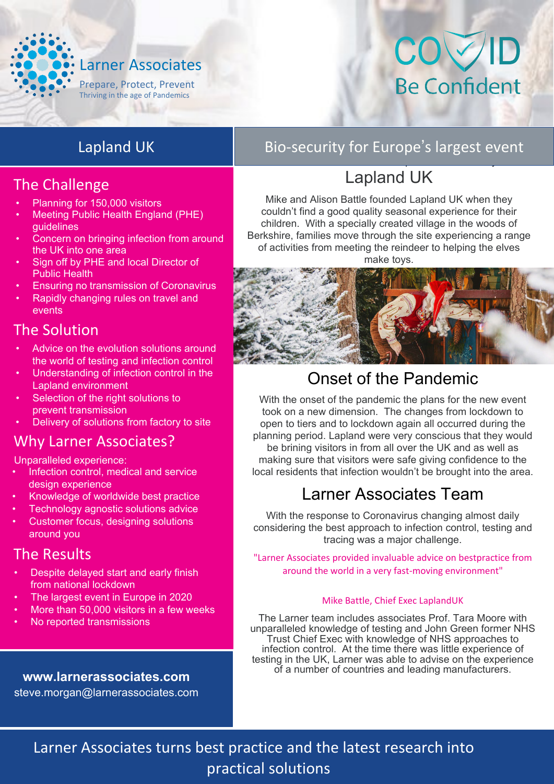

# COVID Be Confident

# Lapland UK

### The Challenge

- Planning for 150,000 visitors
- Meeting Public Health England (PHE) guidelines
- Concern on bringing infection from around the UK into one area
- Sign off by PHE and local Director of Public Health
- Ensuring no transmission of Coronavirus
- Rapidly changing rules on travel and events

#### The Solution

- Advice on the evolution solutions around the world of testing and infection control
- Understanding of infection control in the Lapland environment
- Selection of the right solutions to prevent transmission
- Delivery of solutions from factory to site

#### Why Larner Associates?

Unparalleled experience:

- Infection control, medical and service design experience
- Knowledge of worldwide best practice
- Technology agnostic solutions advice
- Customer focus, designing solutions around you

#### The Results

- Despite delayed start and early finish from national lockdown
- The largest event in Europe in 2020
- More than 50,000 visitors in a few weeks
- No reported transmissions

#### **[www.larnerassociates.com](http://www.larnerassociates.com/)**

steve.morgan@larnerassociates.com

# Bio-security for Europe's largest event

#### Mike and Alison Battle founded Lapland UK when they couldn't Lapland UK

Mike and Alison Battle founded Lapland UK when they couldn't find a good quality seasonal experience for their children. With a specially created village in the woods of Berkshire, families move through the site experiencing a range of activities from meeting the reindeer to helping the elves make toys.



# Onset of the Pandemic

With the onset of the pandemic the plans for the new event took on a new dimension. The changes from lockdown to open to tiers and to lockdown again all occurred during the planning period. Lapland were very conscious that they would be brining visitors in from all over the UK and as well as making sure that visitors were safe giving confidence to the local residents that infection wouldn't be brought into the area.

# Larner Associates Team

With the response to Coronavirus changing almost daily considering the best approach to infection control, testing and tracing was a major challenge.

"Larner Associates provided invaluable advice on bestpractice from around the world in a very fast-moving environment"

#### Mike Battle, Chief Exec LaplandUK

The Larner team includes associates Prof. Tara Moore with unparalleled knowledge of testing and John Green former NHS Trust Chief Exec with knowledge of NHS approaches to infection control. At the time there was little experience of testing in the UK, Larner was able to advise on the experience of a number of countries and leading manufacturers.

### Larner Associates turns best practice and the latest research into practical solutions